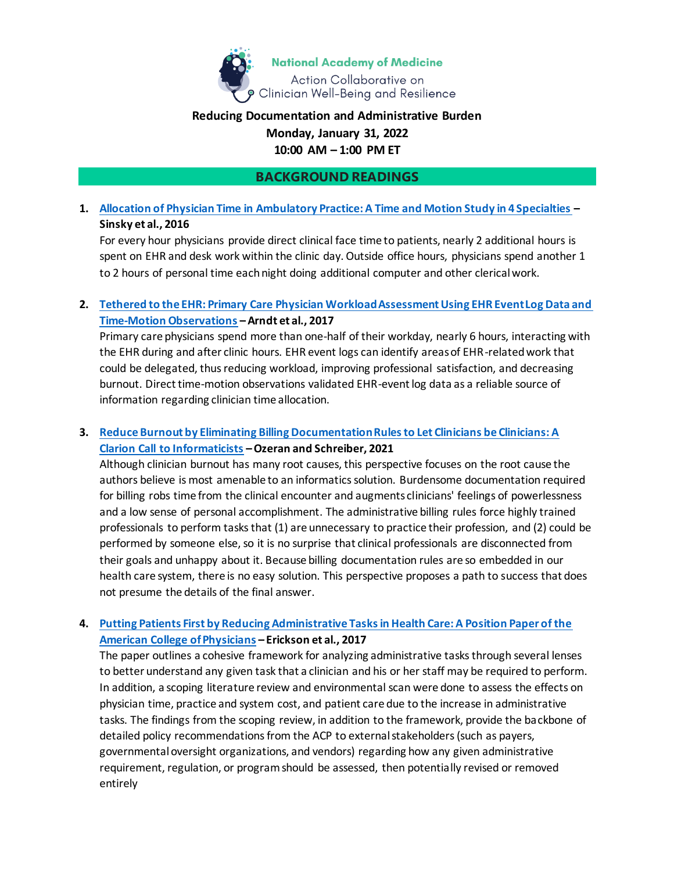

## **Reducing Documentation and Administrative Burden**

### **Monday, January 31, 2022 10:00 AM – 1:00 PM ET**

### **BACKGROUND READINGS**

# **1. [Allocation of Physician Time in Ambulatory Practice: A Time and Motion Study in 4 Specialties](https://www.acpjournals.org/doi/10.7326/M16-0961?url_ver=Z39.88-2003&rfr_id=ori:rid:crossref.org&rfr_dat=cr_pub%20%200pubmed) – Sinsky et al., 2016**

For every hour physicians provide direct clinical face time to patients, nearly 2 additional hours is spent on EHR and desk work within the clinic day. Outside office hours, physicians spend another 1 to 2 hours of personal time each night doing additional computer and other clerical work.

### **2. [Tethered to the EHR: Primary Care Physician Workload Assessment Using EHR Event Log Data and](https://www.annfammed.org/content/15/5/419)  [Time-Motion Observations](https://www.annfammed.org/content/15/5/419) –Arndt et al., 2017**

Primary care physicians spend more than one-half of their workday, nearly 6 hours, interacting with the EHR during and after clinic hours. EHR event logs can identify areas of EHR-related work that could be delegated, thus reducing workload, improving professional satisfaction, and decreasing burnout. Direct time-motion observations validated EHR-event log data as a reliable source of information regarding clinician time allocation.

# **3. [Reduce Burnout by Eliminating Billing Documentation Rules to Let Clinicians be Clinicians: A](https://www.thieme-connect.com/products/ejournals/abstract/10.1055/s-0041-1722872)  [Clarion Call to Informaticists](https://www.thieme-connect.com/products/ejournals/abstract/10.1055/s-0041-1722872) –Ozeran and Schreiber, 2021**

Although clinician burnout has many root causes, this perspective focuses on the root cause the authors believe is most amenable to an informatics solution. Burdensome documentation required for billing robs time from the clinical encounter and augments clinicians' feelings of powerlessness and a low sense of personal accomplishment. The administrative billing rules force highly trained professionals to perform tasks that (1) are unnecessary to practice their profession, and (2) could be performed by someone else, so it is no surprise that clinical professionals are disconnected from their goals and unhappy about it. Because billing documentation rules are so embedded in our health care system, there is no easy solution. This perspective proposes a path to success that does not presume the details of the final answer.

## **4. [Putting Patients First by Reducing Administrative Tasks in Health Care: A Position Paper of the](https://www.acpjournals.org/doi/pdf/10.7326/M16-2697)  [American College of Physicians](https://www.acpjournals.org/doi/pdf/10.7326/M16-2697) – Erickson et al., 2017**

The paper outlines a cohesive framework for analyzing administrative tasks through several lenses to better understand any given task that a clinician and his or her staff may be required to perform. In addition, a scoping literature review and environmental scan were done to assess the effects on physician time, practice and system cost, and patient care due to the increase in administrative tasks. The findings from the scoping review, in addition to the framework, provide the backbone of detailed policy recommendations from the ACP to external stakeholders (such as payers, governmental oversight organizations, and vendors) regarding how any given administrative requirement, regulation, or program should be assessed, then potentially revised or removed entirely